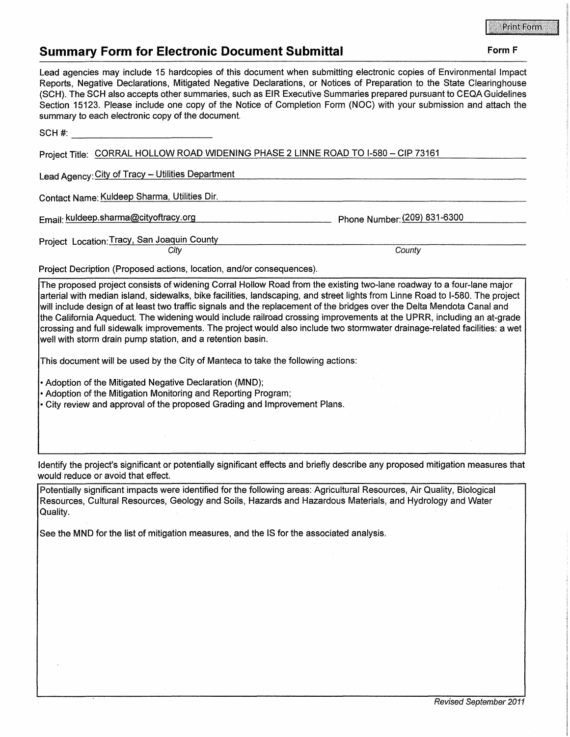## **Summary Form for Electronic Document Submittal Form F Form F Form F**

Lead agencies may include 15 hardcopies of this document when submitting electronic copies of Environmental Impact Reports, Negative Declarations, Mitigated Negative Declarations, or Notices of Preparation to the State Clearinghouse (SCH). The SCH also accepts other summaries, such as EIR Executive Summaries prepared pursuant to CEQA Guidelines Section 15123. Please include one copy of the Notice of Completion Form (NOC) with your submission and attach the summary to each electronic copy of the document. SCH#: \_\_\_\_\_\_\_\_\_ \_

Project Title: CORRAL HOLLOW ROAD WIDENING PHASE 2 LINNE ROAD TO I-580 - CIP 73161

Lead Agency: City of Tracy - Utilities Department

Contact Name: Kuldeep Sharma, Utilities Dir.

Email: kuldeep.sharma@cityoftracy.org Phone Number: (209) 831-6300

Project Location: Tracy, San Joaquin County

**County** 

Project Decription (Proposed actions, location, and/or consequences).

**City** 

The proposed project consists of widening Corral Hollow Road from the existing two-lane roadway to a four-lane major arterial with median island, sidewalks, bike facilities, landscaping, and street lights from Linne Road to 1-580. The project will include design of at least two traffic signals and the replacement of the bridges over the Delta Mendota Canal and the California Aqueduct. The widening would include railroad crossing improvements at the UPRR, including an at-grade crossing and full sidewalk improvements. The project would also include two stormwater drainage-related facilities: a wet well with storm drain pump station, and a retention basin.

This document will be used by the City of Manteca to take the following actions:

• Adoption of the Mitigated Negative Declaration (MND);

• Adoption of the Mitigation Monitoring and Reporting Program;

• City review and approval of the proposed Grading and Improvement Plans.

Identify the project's significant or potentially significant effects and briefly describe any proposed mitigation measures that would reduce or avoid that effect.

Potentially significant impacts were identified for the following areas: Agricultural Resources, Air Quality, Biological Resources, Cultural Resources, Geology and Soils, Hazards and Hazardous Materials, and Hydrology and Water Quality.

See the MND for the list of mitigation measures, and the IS for the associated analysis.